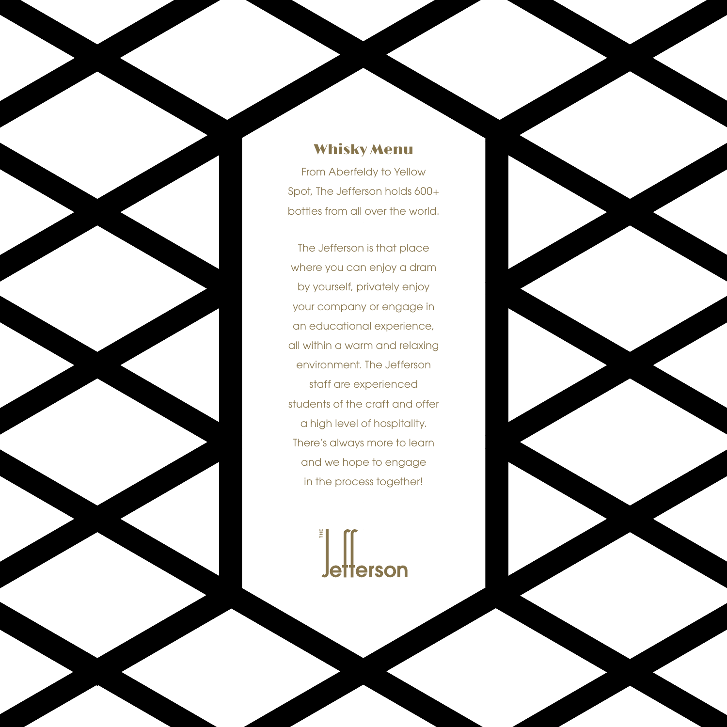#### Whisky Menu

From Aberfeldy to Yellow Spot, The Jefferson holds 600+ bottles from all over the world.

The Jefferson is that place where you can enjoy a dram by yourself, privately enjoy your company or engage in an educational experience, all within a warm and relaxing environment. The Jefferson staff are experienced students of the craft and offer a high level of hospitality. There's always more to learn and we hope to engage in the process together!

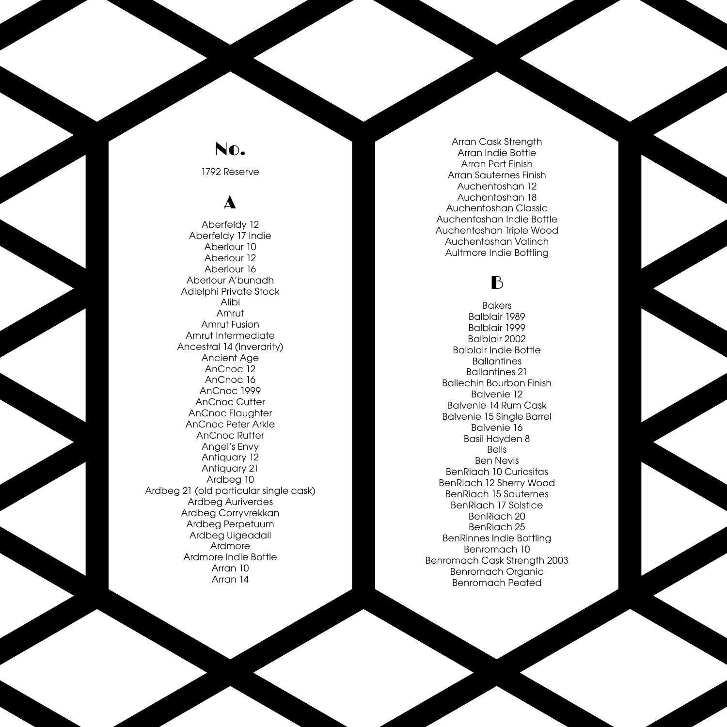### No.

1792 Reserve

## A

Aberfeldy 12 Aberfeldy 17 Indie Aberlour 10 Aberlour 12 Aberlour 16 Aberlour A'bunadh Adlelphi Private Stock Alibi Amrut Amrut Fusion Amrut Intermediate Ancestral 14 (Inverarity) Ancient Age AnCnoc 12 AnCnoc 16 AnCnoc 1999 AnCnoc Cutter AnCnoc Flaughter AnCnoc Peter Arkle AnCnoc Rutter Angel's Envy Antiquary 12 Antiquary 21 Ardbeg 10 Ardbeg 21 (old particular single cask) Ardbeg Auriverdes Ardbeg Corryvrekkan Ardbeg Perpetuum Ardbeg Uigeadail Ardmore Ardmore Indie Bottle Arran 10 Arran 14

Arran Cask Strength Arran Indie Bottle Arran Port Finish Arran Sauternes Finish Auchentoshan 12 Auchentoshan 18 Auchentoshan Classic Auchentoshan Indie Bottle Auchentoshan Triple Wood Auchentoshan Valinch Aultmore Indie Bottling

## B

**Bakers** Balblair 1989 Balblair 1999 Balblair 2002 Balblair Indie Bottle **Ballantines** Ballantines 21 Ballechin Bourbon Finish Balvenie 12 Balvenie 14 Rum Cask Balvenie 15 Single Barrel Balvenie 16 Basil Hayden 8 Bells Ben Nevis BenRiach 10 Curiositas BenRiach 12 Sherry Wood BenRiach 15 Sauternes BenRiach 17 Solstice BenRiach 20 BenRiach 25 BenRinnes Indie Bottling Benromach 10 Benromach Cask Strength 2003 Benromach Organic Benromach Peated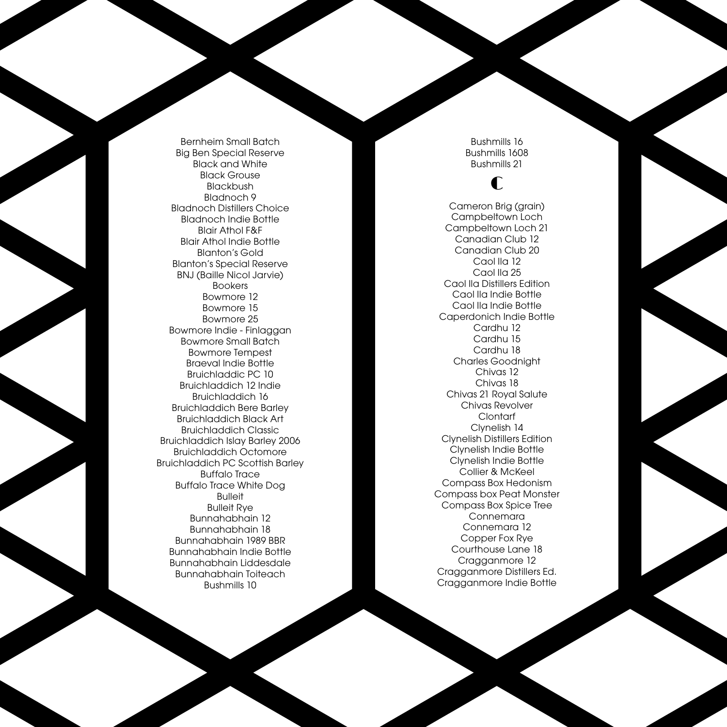Bernheim Small Batch Big Ben Special Reserve Black and White Black Grouse Blackbush Bladnoch 9 Bladnoch Distillers Choice Bladnoch Indie Bottle Blair Athol F&F Blair Athol Indie Bottle Blanton's Gold Blanton's Special Reserve BNJ (Baille Nicol Jarvie) Bookers Bowmore 12 Bowmore 15 Bowmore 25 Bowmore Indie - Finlaggan Bowmore Small Batch Bowmore Tempest Braeval Indie Bottle Bruichladdic PC 10 Bruichladdich 12 Indie Bruichladdich 16 Bruichladdich Bere Barley Bruichladdich Black Art Bruichladdich Classic Bruichladdich Islay Barley 2006 Bruichladdich Octomore Bruichladdich PC Scottish Barley Buffalo Trace Buffalo Trace White Dog Bulleit Bulleit Rye Bunnahabhain 12 Bunnahabhain 18 Bunnahabhain 1989 BBR Bunnahabhain Indie Bottle Bunnahabhain Liddesdale Bunnahabhain Toiteach Bushmills 10

Bushmills 16 Bushmills 1608 Bushmills 21

### C

Cameron Brig (grain) Campbeltown Loch Campbeltown Loch 21 Canadian Club 12 Canadian Club 20 Caol Ila 12 Caol Ila 25 Caol Ila Distillers Edition Caol Ila Indie Bottle Caol Ila Indie Bottle Caperdonich Indie Bottle Cardhu 12 Cardhu 15 Cardhu 18 Charles Goodnight Chivas 12 Chivas 18 Chivas 21 Royal Salute Chivas Revolver Clontarf Clynelish 14 Clynelish Distillers Edition Clynelish Indie Bottle Clynelish Indie Bottle Collier & McKeel Compass Box Hedonism Compass box Peat Monster Compass Box Spice Tree Connemara Connemara 12 Copper Fox Rye Courthouse Lane 18 Cragganmore 12 Cragganmore Distillers Ed. Cragganmore Indie Bottle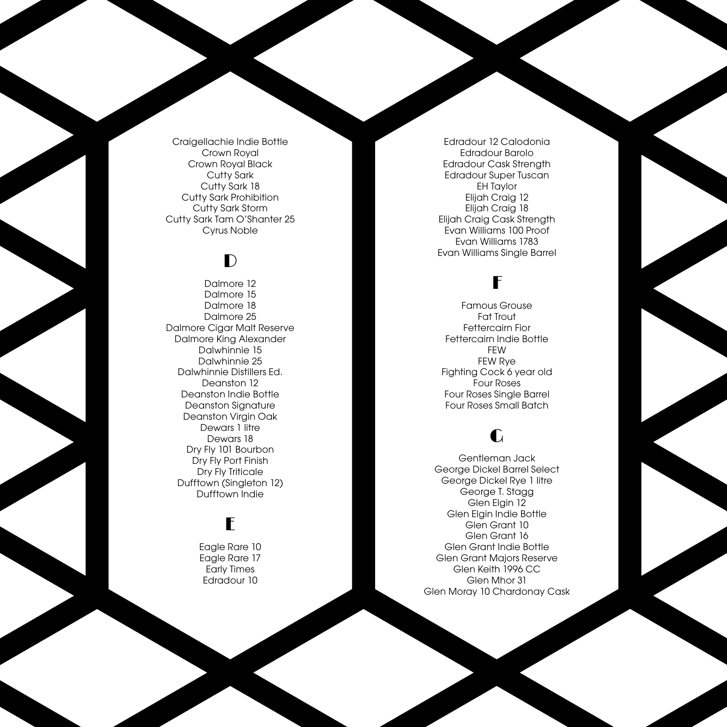Craigellachie Indie Bottle Crown Royal Crown Royal Black Cutty Sark Cutty Sark 18 Cutty Sark Prohibition Cutty Sark Storm Cutty Sark Tam O'Shanter 25 Cyrus Noble

## $\mathbf{D}$

Dalmore 12 Dalmore 15 Dalmore 18 Dalmore 25 Dalmore Cigar Malt Reserve Dalmore King Alexander Dalwhinnie 15 Dalwhinnie 25 Dalwhinnie Distillers Ed. Deanston 12 Deanston Indie Bottle Deanston Signature Deanston Virgin Oak Dewars 1 litre Dewars 18 Dry Fly 101 Bourbon Dry Fly Port Finish Dry Fly Triticale Dufftown (Singleton 12) Dufftown Indie

## E

Eagle Rare 10 Eagle Rare 17 Early Times Edradour 10

Edradour 12 Calodonia Edradour Barolo Edradour Cask Strength Edradour Super Tuscan EH Taylor Elijah Craig 12 Elijah Craig 18 Elijah Craig Cask Strength Evan Williams 100 Proof Evan Williams 1783 Evan Williams Single Barrel

## F

Famous Grouse Fat Trout Fettercairn Fior Fettercairn Indie Bottle FEW FEW Rye Fighting Cock 6 year old Four Roses Four Roses Single Barrel Four Roses Small Batch

### G

Gentleman Jack George Dickel Barrel Select George Dickel Rye 1 litre George T. Stagg Glen Elgin 12 Glen Elgin Indie Bottle Glen Grant 10 Glen Grant 16 Glen Grant Indie Bottle Glen Grant Majors Reserve Glen Keith 1996 CC Glen Mhor 31 Glen Moray 10 Chardonay Cask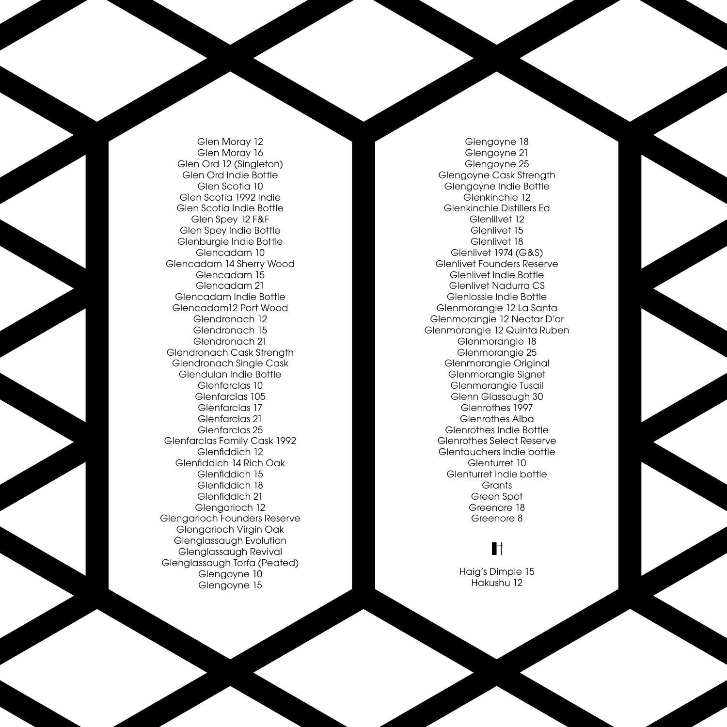Glen Moray 12 Glen Moray 16 Glen Ord 12 (Singleton) Glen Ord Indie Bottle Glen Scotia 10 Glen Scotia 1992 Indie Glen Scotia Indie Bottle Glen Spey 12 F&F Glen Spey Indie Bottle Glenburgie Indie Bottle Glencadam 10 Glencadam 14 Sherry Wood Glencadam 15 Glencadam 21 Glencadam Indie Bottle Glencadam12 Port Wood Glendronach 12 Glendronach 15 Glendronach 21 Glendronach Cask Strength Glendronach Single Cask Glendulan Indie Bottle Glenfarclas 10 Glenfarclas 105 Glenfarclas 17 Glenfarclas 21 Glenfarclas 25 Glenfarclas Family Cask 1992 Glenfiddich 12 Glenfiddich 14 Rich Oak Glenfiddich 15 Glenfiddich 18 Glenfiddich 21 Glengarioch 12 Glengarioch Founders Reserve Glengarioch Virgin Oak Glenglassaugh Evolution Glenglassaugh Revival Glenglassaugh Torfa (Peated) Glengoyne 10 Glengoyne 15

Glengoyne 18 Glengoyne 21 Glengoyne 25 Glengoyne Cask Strength Glengoyne Indie Bottle Glenkinchie 12 Glenkinchie Distillers Ed Glenlilvet 12 Glenlivet 15 Glenlivet 18 Glenlivet 1974 (G&S) Glenlivet Founders Reserve Glenlivet Indie Bottle Glenlivet Nadurra CS Glenlossie Indie Bottle Glenmorangie 12 La Santa Glenmorangie 12 Nectar D'or Glenmorangie 12 Quinta Ruben Glenmorangie 18 Glenmorangie 25 Glenmorangie Original Glenmorangie Signet Glenmorangie Tusail Glenn Glassaugh 30 Glenrothes 1997 Glenrothes Alba Glenrothes Indie Bottle Glenrothes Select Reserve Glentauchers Indie bottle Glenturret 10 Glenturret Indie bottle **Grants** Green Spot Greenore 18 Greenore 8

### H

Haig's Dimple 15 Hakushu 12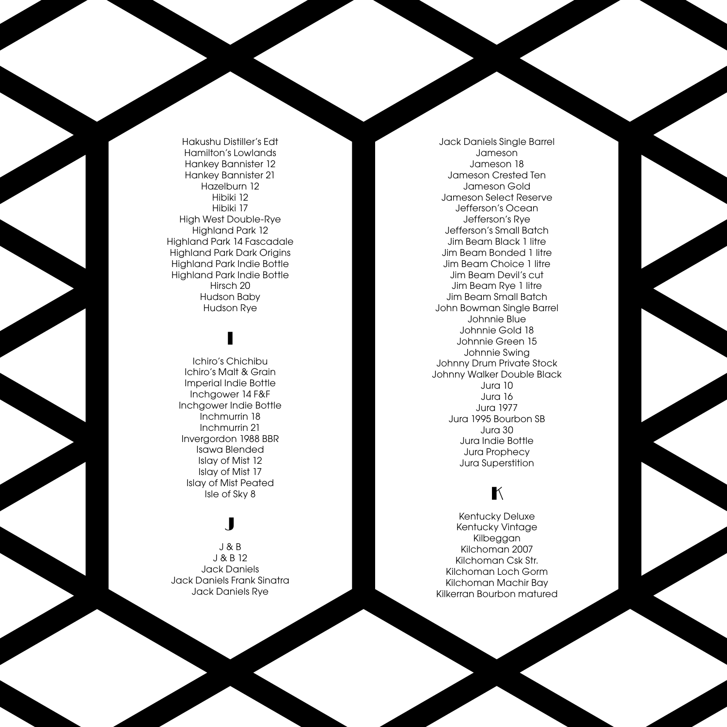Hakushu Distiller's Edt Hamilton's Lowlands Hankey Bannister 12 Hankey Bannister 21 Hazelburn 12 Hibiki 12 Hibiki 17 High West Double-Rye Highland Park 12 Highland Park 14 Fascadale Highland Park Dark Origins Highland Park Indie Bottle Highland Park Indie Bottle Hirsch 20 Hudson Baby Hudson Rye

# I

Ichiro's Chichibu Ichiro's Malt & Grain Imperial Indie Bottle Inchgower 14 F&F Inchgower Indie Bottle Inchmurrin 18 Inchmurrin 21 Invergordon 1988 BBR Isawa Blended Islay of Mist 12 Islay of Mist 17 Islay of Mist Peated Isle of Sky 8

### J

J & B J & B 12 Jack Daniels Jack Daniels Frank Sinatra Jack Daniels Rye

Jack Daniels Single Barrel Jameson Jameson 18 Jameson Crested Ten Jameson Gold Jameson Select Reserve Jefferson's Ocean Jefferson's Rye Jefferson's Small Batch Jim Beam Black 1 litre Jim Beam Bonded 1 litre Jim Beam Choice 1 litre Jim Beam Devil's cut Jim Beam Rye 1 litre Jim Beam Small Batch John Bowman Single Barrel Johnnie Blue Johnnie Gold 18 Johnnie Green 15 Johnnie Swing Johnny Drum Private Stock Johnny Walker Double Black Jura 10 Jura 16 Jura 1977 Jura 1995 Bourbon SB Jura 30 Jura Indie Bottle Jura Prophecy Jura Superstition

## $\mathbb{K}$

Kentucky Deluxe Kentucky Vintage Kilbeggan Kilchoman 2007 Kilchoman Csk Str. Kilchoman Loch Gorm Kilchoman Machir Bay Kilkerran Bourbon matured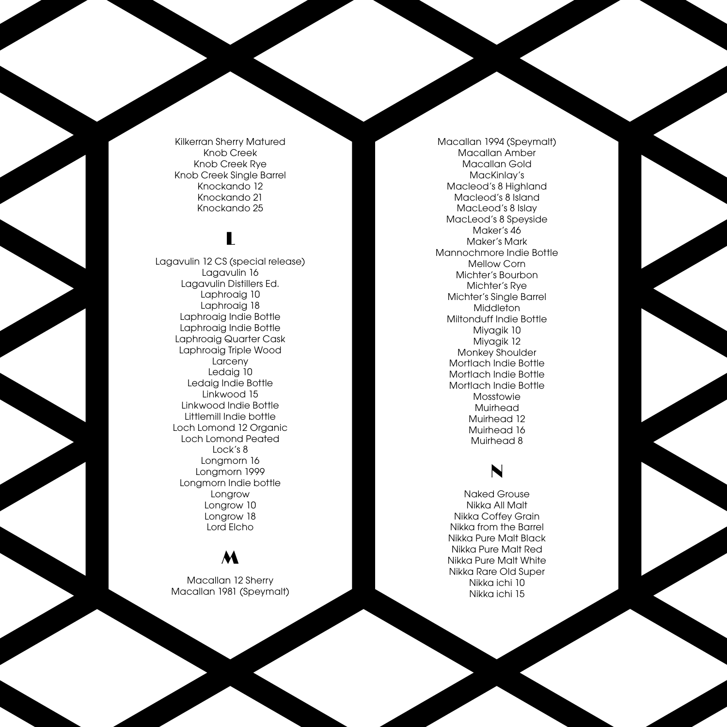Kilkerran Sherry Matured Knob Creek Knob Creek Rye Knob Creek Single Barrel Knockando 12 Knockando 21 Knockando 25

# L

Lagavulin 12 CS (special release) Lagavulin 16 Lagavulin Distillers Ed. Laphroaig 10 Laphroaig 18 Laphroaig Indie Bottle Laphroaig Indie Bottle Laphroaig Quarter Cask Laphroaig Triple Wood Larceny Ledaig 10 Ledaig Indie Bottle Linkwood 15 Linkwood Indie Bottle Littlemill Indie bottle Loch Lomond 12 Organic Loch Lomond Peated Lock's 8 Longmorn 16 Longmorn 1999 Longmorn Indie bottle Longrow Longrow 10 Longrow 18 Lord Elcho

### M

Macallan 12 Sherry Macallan 1981 (Speymalt)

Macallan 1994 (Speymalt) Macallan Amber Macallan Gold MacKinlay's Macleod's 8 Highland Macleod's 8 Island MacLeod's 8 Islay MacLeod's 8 Speyside Maker's 46 Maker's Mark Mannochmore Indie Bottle Mellow Corn Michter's Bourbon Michter's Rye Michter's Single Barrel **Middleton** Miltonduff Indie Bottle Miyagik 10 Miyagik 12 Monkey Shoulder Mortlach Indie Bottle Mortlach Indie Bottle Mortlach Indie Bottle Mosstowie Muirhead Muirhead 12 Muirhead 16 Muirhead 8

## N

Naked Grouse Nikka All Malt Nikka Coffey Grain Nikka from the Barrel Nikka Pure Malt Black Nikka Pure Malt Red Nikka Pure Malt White Nikka Rare Old Super Nikka ichi 10 Nikka ichi 15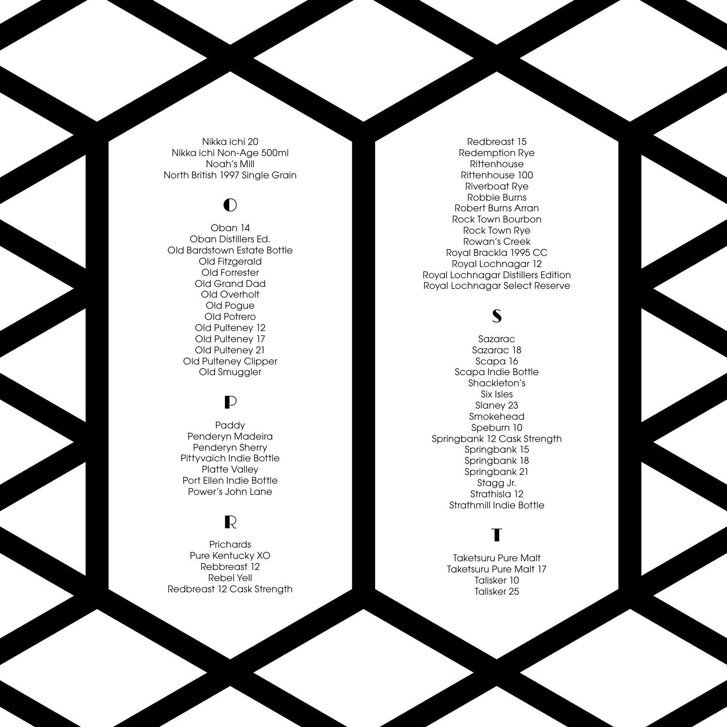Nikka ichi 20 Nikka ichi Non-Age 500ml Noah's Mill North British 1997 Single Grain

## $\bullet$

Oban 14 Oban Distillers Ed. Old Bardstown Estate Bottle Old Fitzgerald Old Forrester Old Grand Dad Old Overholt Old Pogue Old Potrero Old Pulteney 12 Old Pulteney 17 Old Pulteney 21 Old Pulteney Clipper Old Smuggler

### $\mathbf{D}$

Paddy Penderyn Madeira Penderyn Sherry Pittyvaich Indie Bottle Platte Valley Port Ellen Indie Bottle Power's John Lane

### R

**Prichards** Pure Kentucky XO Rebbreast 12 Rebel Yell Redbreast 12 Cask Strength

Redbreast 15 Redemption Rye **Rittenhouse** Rittenhouse 100 Riverboat Rye Robbie Burns Robert Burns Arran Rock Town Bourbon Rock Town Rye Rowan's Creek Royal Brackla 1995 CC Royal Lochnagar 12 Royal Lochnagar Distillers Edition Royal Lochnagar Select Reserve

## S

Sazarac Sazarac 18 Scapa 16 Scapa Indie Bottle Shackleton's Six Isles Slaney 23 Smokehead Speburn 10 Springbank 12 Cask Strength Springbank 15 Springbank 18 Springbank 21 Stagg Jr. Strathisla 12 Strathmill Indie Bottle

## T

Taketsuru Pure Malt Taketsuru Pure Malt 17 Talisker 10 Talisker 25